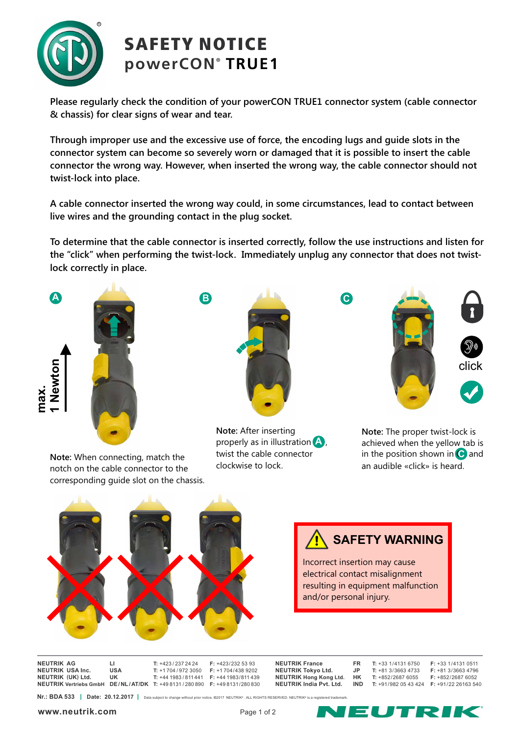

## SAFETY NOTICE **® powerCON TRUE1**

**Please regularly check the condition of your powerCON TRUE1 connector system (cable connector & chassis) for clear signs of wear and tear.**

**Through improper use and the excessive use of force, the encoding lugs and guide slots in the connector system can become so severely worn or damaged that it is possible to insert the cable connector the wrong way. However, when inserted the wrong way, the cable connector should not twist-lock into place.** 

**A cable connector inserted the wrong way could, in some circumstances, lead to contact between live wires and the grounding contact in the plug socket.** 

**To determine that the cable connector is inserted correctly, follow the use instructions and listen for the "click" when performing the twist-lock. Immediately unplug any connector that does not twistlock correctly in place.** 



**Note:** When connecting, match the notch on the cable connector to the corresponding guide slot on the chassis.



**Note:** After inserting properly as in illustration **A**, twist the cable connector clockwise to lock.



**Note:** The proper twist-lock is achieved when the yellow tab is in the position shown in C and **C** an audible «click» is heard.



**SAFETY WARNING**

Incorrect insertion may cause electrical contact misalignment resulting in equipment malfunction and/or personal injury.

**NEUTRIK AG LI T:** +423 / 237 24 24 **F:** +423/232 53 93 **NEUTRIK** USA Inc. **NEUTRIK ( ) UK Ltd. UK T:** +44 1983 / 811 441 **F:** +44 1983/811 439 **NEUTRIK Vertriebs GmbH DE/NL/AT/DK T:** +49 8131 / 280 890 **F:** +49 8131/280 830

**NEUTRIK Tokyo Ltd. JP<br><b>NEUTRIK Hong Kong Ltd HK** 

| <b>NEUTRIK France</b>          | FR.  | $T: +331/41316750$  | $F: +33$ 1/4131 0511 |
|--------------------------------|------|---------------------|----------------------|
| <b>NEUTRIK Tokvo Ltd.</b>      | .JP. | $T: +813/36634733$  | $F: +813/36634796$   |
| <b>NEUTRIK Hong Kong Ltd.</b>  | нĸ   | $T: +852/26876055$  | $F: +852/26876052$   |
| <b>NEUTRIK India Pvt. Ltd.</b> | IND. | $T: +91/9820543424$ | $F: +91/2226163540$  |
|                                |      |                     |                      |

**Nr.: BDA 533 <sup>|</sup>** Date: 20.12.2017 | Data subject to change without prior notice. ©2017 NEUTRIK<sup>®</sup>. ALL RIGHTS RESERVED. NEUTRIK<sup>®</sup> is a reg